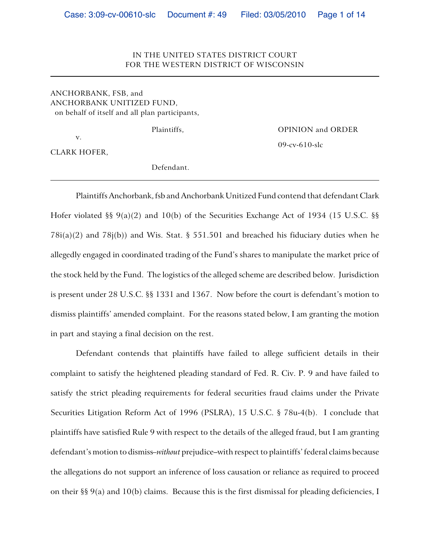### IN THE UNITED STATES DISTRICT COURT FOR THE WESTERN DISTRICT OF WISCONSIN

# ANCHORBANK, FSB, and ANCHORBANK UNITIZED FUND, on behalf of itself and all plan participants,

v. CLARK HOFER, Defendant.

Plaintiffs, OPINION and ORDER 09-cv-610-slc

Plaintiffs Anchorbank, fsb and Anchorbank Unitized Fund contend that defendant Clark Hofer violated §§ 9(a)(2) and 10(b) of the Securities Exchange Act of 1934 (15 U.S.C. §§  $78i(a)(2)$  and  $78j(b)$ ) and Wis. Stat. § 551.501 and breached his fiduciary duties when he allegedly engaged in coordinated trading of the Fund's shares to manipulate the market price of the stock held by the Fund. The logistics of the alleged scheme are described below. Jurisdiction is present under 28 U.S.C. §§ 1331 and 1367. Now before the court is defendant's motion to dismiss plaintiffs' amended complaint. For the reasons stated below, I am granting the motion in part and staying a final decision on the rest.

Defendant contends that plaintiffs have failed to allege sufficient details in their complaint to satisfy the heightened pleading standard of Fed. R. Civ. P. 9 and have failed to satisfy the strict pleading requirements for federal securities fraud claims under the Private Securities Litigation Reform Act of 1996 (PSLRA), 15 U.S.C. § 78u-4(b). I conclude that plaintiffs have satisfied Rule 9 with respect to the details of the alleged fraud, but I am granting defendant's motion to dismiss*–without* prejudice–with respect to plaintiffs' federal claims because the allegations do not support an inference of loss causation or reliance as required to proceed on their §§ 9(a) and 10(b) claims. Because this is the first dismissal for pleading deficiencies, I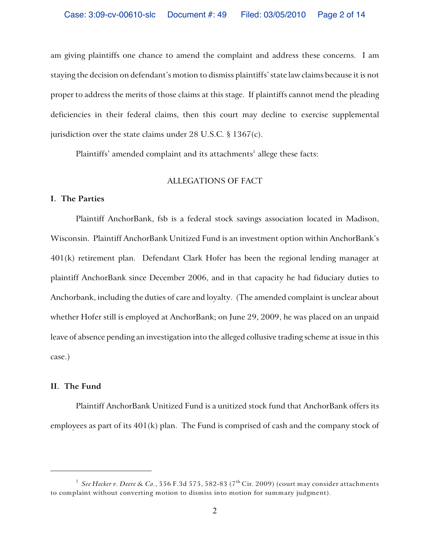am giving plaintiffs one chance to amend the complaint and address these concerns. I am staying the decision on defendant's motion to dismiss plaintiffs' state law claims because it is not proper to address the merits of those claims at this stage. If plaintiffs cannot mend the pleading deficiencies in their federal claims, then this court may decline to exercise supplemental jurisdiction over the state claims under 28 U.S.C. § 1367(c).

Plaintiffs' amended complaint and its attachments<sup>1</sup> allege these facts:

# ALLEGATIONS OF FACT

# **I. The Parties**

Plaintiff AnchorBank, fsb is a federal stock savings association located in Madison, Wisconsin. Plaintiff AnchorBank Unitized Fund is an investment option within AnchorBank's 401(k) retirement plan. Defendant Clark Hofer has been the regional lending manager at plaintiff AnchorBank since December 2006, and in that capacity he had fiduciary duties to Anchorbank, including the duties of care and loyalty. (The amended complaint is unclear about whether Hofer still is employed at AnchorBank; on June 29, 2009, he was placed on an unpaid leave of absence pending an investigation into the alleged collusive trading scheme at issue in this case.)

# **II. The Fund**

Plaintiff AnchorBank Unitized Fund is a unitized stock fund that AnchorBank offers its employees as part of its 401(k) plan. The Fund is comprised of cash and the company stock of

<sup>&</sup>lt;sup>1</sup> See *Hecker v. Deere & Co.*, 556 F.3d 575, 582-83 (7<sup>th</sup> Cir. 2009) (court may consider attachments to complaint without converting motion to dismiss into motion for summary judgment).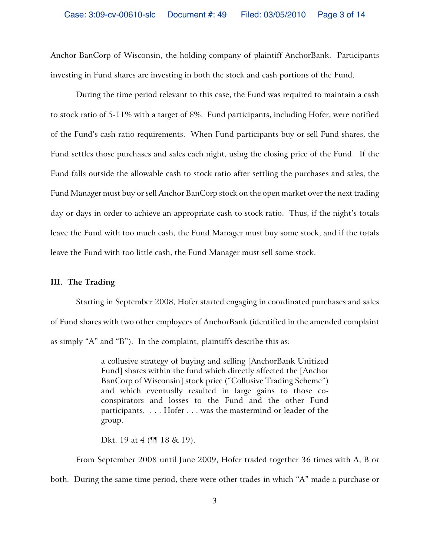Anchor BanCorp of Wisconsin, the holding company of plaintiff AnchorBank. Participants investing in Fund shares are investing in both the stock and cash portions of the Fund.

During the time period relevant to this case, the Fund was required to maintain a cash to stock ratio of 5-11% with a target of 8%. Fund participants, including Hofer, were notified of the Fund's cash ratio requirements. When Fund participants buy or sell Fund shares, the Fund settles those purchases and sales each night, using the closing price of the Fund. If the Fund falls outside the allowable cash to stock ratio after settling the purchases and sales, the Fund Manager must buy or sell Anchor BanCorp stock on the open market over the next trading day or days in order to achieve an appropriate cash to stock ratio. Thus, if the night's totals leave the Fund with too much cash, the Fund Manager must buy some stock, and if the totals leave the Fund with too little cash, the Fund Manager must sell some stock.

## **III. The Trading**

Starting in September 2008, Hofer started engaging in coordinated purchases and sales of Fund shares with two other employees of AnchorBank (identified in the amended complaint as simply "A" and "B"). In the complaint, plaintiffs describe this as:

> a collusive strategy of buying and selling [AnchorBank Unitized Fund] shares within the fund which directly affected the [Anchor BanCorp of Wisconsin] stock price ("Collusive Trading Scheme") and which eventually resulted in large gains to those coconspirators and losses to the Fund and the other Fund participants. . . . Hofer . . . was the mastermind or leader of the group.

Dkt. 19 at 4 (¶¶ 18 & 19).

From September 2008 until June 2009, Hofer traded together 36 times with A, B or

both. During the same time period, there were other trades in which "A" made a purchase or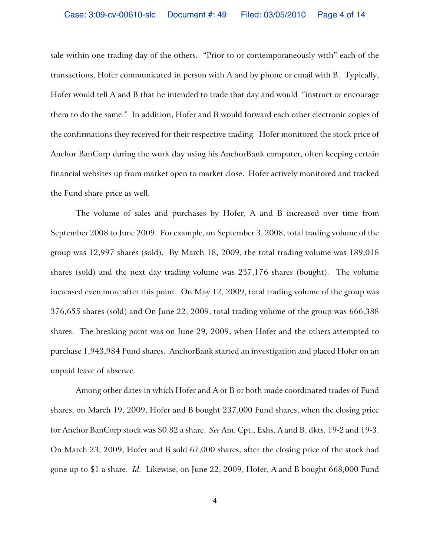sale within one trading day of the others. "Prior to or contemporaneously with" each of the transactions, Hofer communicated in person with A and by phone or email with B. Typically, Hofer would tell A and B that he intended to trade that day and would "instruct or encourage them to do the same." In addition, Hofer and B would forward each other electronic copies of the confirmations they received for their respective trading. Hofer monitored the stock price of Anchor BanCorp during the work day using his AnchorBank computer, often keeping certain financial websites up from market open to market close. Hofer actively monitored and tracked the Fund share price as well.

The volume of sales and purchases by Hofer, A and B increased over time from September 2008 to June 2009. For example, on September 3, 2008, total trading volume of the group was 12,997 shares (sold). By March 18, 2009, the total trading volume was 189,018 shares (sold) and the next day trading volume was 237,176 shares (bought). The volume increased even more after this point. On May 12, 2009, total trading volume of the group was 376,655 shares (sold) and On June 22, 2009, total trading volume of the group was 666,388 shares. The breaking point was on June 29, 2009, when Hofer and the others attempted to purchase 1,943,984 Fund shares. AnchorBank started an investigation and placed Hofer on an unpaid leave of absence.

Among other dates in which Hofer and A or B or both made coordinated trades of Fund shares, on March 19, 2009, Hofer and B bought 237,000 Fund shares, when the closing price for Anchor BanCorp stock was \$0.82 a share. *See* Am. Cpt., Exhs. A and B, dkts. 19-2 and 19-3. On March 23, 2009, Hofer and B sold 67,000 shares, after the closing price of the stock had gone up to \$1 a share. *Id.* Likewise, on June 22, 2009, Hofer, A and B bought 668,000 Fund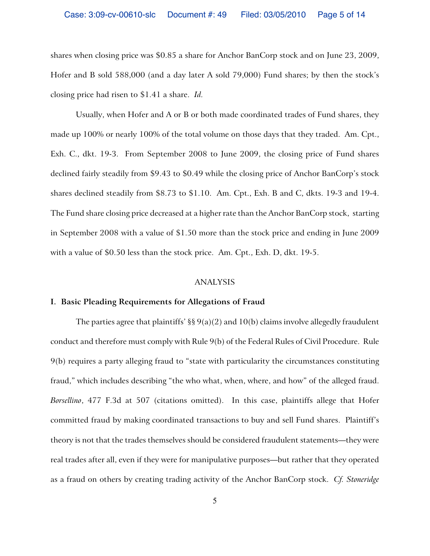shares when closing price was \$0.85 a share for Anchor BanCorp stock and on June 23, 2009, Hofer and B sold 588,000 (and a day later A sold 79,000) Fund shares; by then the stock's closing price had risen to \$1.41 a share. *Id.*

Usually, when Hofer and A or B or both made coordinated trades of Fund shares, they made up 100% or nearly 100% of the total volume on those days that they traded. Am. Cpt., Exh. C., dkt. 19-3. From September 2008 to June 2009, the closing price of Fund shares declined fairly steadily from \$9.43 to \$0.49 while the closing price of Anchor BanCorp's stock shares declined steadily from \$8.73 to \$1.10. Am. Cpt., Exh. B and C, dkts. 19-3 and 19-4. The Fund share closing price decreased at a higher rate than the Anchor BanCorp stock, starting in September 2008 with a value of \$1.50 more than the stock price and ending in June 2009 with a value of \$0.50 less than the stock price. Am. Cpt., Exh. D, dkt. 19-5.

### ANALYSIS

#### **I. Basic Pleading Requirements for Allegations of Fraud**

The parties agree that plaintiffs'  $\S\S 9(a)(2)$  and  $10(b)$  claims involve allegedly fraudulent conduct and therefore must comply with Rule 9(b) of the Federal Rules of Civil Procedure. Rule 9(b) requires a party alleging fraud to "state with particularity the circumstances constituting fraud," which includes describing "the who what, when, where, and how" of the alleged fraud. *Borsellino*, 477 F.3d at 507 (citations omitted). In this case, plaintiffs allege that Hofer committed fraud by making coordinated transactions to buy and sell Fund shares. Plaintiff's theory is not that the trades themselves should be considered fraudulent statements—they were real trades after all, even if they were for manipulative purposes—but rather that they operated as a fraud on others by creating trading activity of the Anchor BanCorp stock. *Cf. Stoneridge*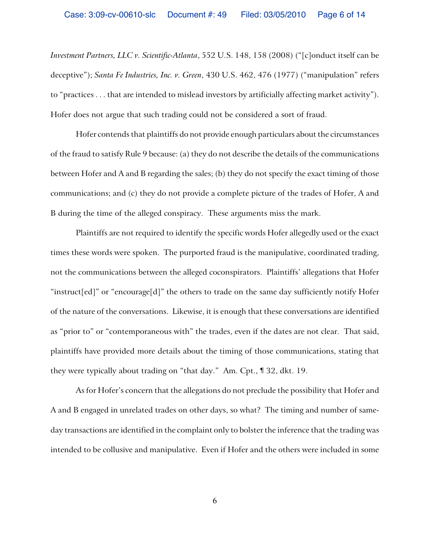*Investment Partners, LLC v. Scientific-Atlanta*, 552 U.S. 148, 158 (2008) ("[c]onduct itself can be deceptive"); *Santa Fe Industries, Inc. v. Green*, 430 U.S. 462, 476 (1977) ("manipulation" refers to "practices . . . that are intended to mislead investors by artificially affecting market activity"). Hofer does not argue that such trading could not be considered a sort of fraud.

Hofer contends that plaintiffs do not provide enough particulars about the circumstances of the fraud to satisfy Rule 9 because: (a) they do not describe the details of the communications between Hofer and A and B regarding the sales; (b) they do not specify the exact timing of those communications; and (c) they do not provide a complete picture of the trades of Hofer, A and B during the time of the alleged conspiracy. These arguments miss the mark.

Plaintiffs are not required to identify the specific words Hofer allegedly used or the exact times these words were spoken. The purported fraud is the manipulative, coordinated trading, not the communications between the alleged coconspirators. Plaintiffs' allegations that Hofer "instruct[ed]" or "encourage[d]" the others to trade on the same day sufficiently notify Hofer of the nature of the conversations. Likewise, it is enough that these conversations are identified as "prior to" or "contemporaneous with" the trades, even if the dates are not clear. That said, plaintiffs have provided more details about the timing of those communications, stating that they were typically about trading on "that day." Am. Cpt., ¶ 32, dkt. 19.

As for Hofer's concern that the allegations do not preclude the possibility that Hofer and A and B engaged in unrelated trades on other days, so what? The timing and number of sameday transactions are identified in the complaint only to bolster the inference that the trading was intended to be collusive and manipulative. Even if Hofer and the others were included in some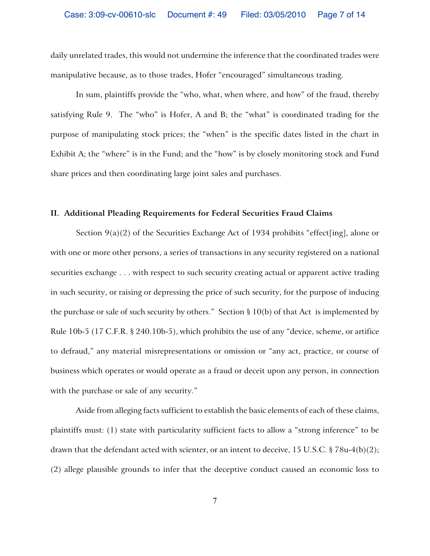daily unrelated trades, this would not undermine the inference that the coordinated trades were manipulative because, as to those trades, Hofer "encouraged" simultaneous trading.

In sum, plaintiffs provide the "who, what, when where, and how" of the fraud, thereby satisfying Rule 9. The "who" is Hofer, A and B; the "what" is coordinated trading for the purpose of manipulating stock prices; the "when" is the specific dates listed in the chart in Exhibit A; the "where" is in the Fund; and the "how" is by closely monitoring stock and Fund share prices and then coordinating large joint sales and purchases.

#### **II. Additional Pleading Requirements for Federal Securities Fraud Claims**

Section  $9(a)(2)$  of the Securities Exchange Act of 1934 prohibits "effect [ing], alone or with one or more other persons, a series of transactions in any security registered on a national securities exchange . . . with respect to such security creating actual or apparent active trading in such security, or raising or depressing the price of such security, for the purpose of inducing the purchase or sale of such security by others." Section § 10(b) of that Act is implemented by Rule 10b-5 (17 C.F.R. § 240.10b-5), which prohibits the use of any "device, scheme, or artifice to defraud," any material misrepresentations or omission or "any act, practice, or course of business which operates or would operate as a fraud or deceit upon any person, in connection with the purchase or sale of any security."

Aside from alleging facts sufficient to establish the basic elements of each of these claims, plaintiffs must: (1) state with particularity sufficient facts to allow a "strong inference" to be drawn that the defendant acted with scienter, or an intent to deceive, 15 U.S.C.  $\S 78u-4(b)(2)$ ; (2) allege plausible grounds to infer that the deceptive conduct caused an economic loss to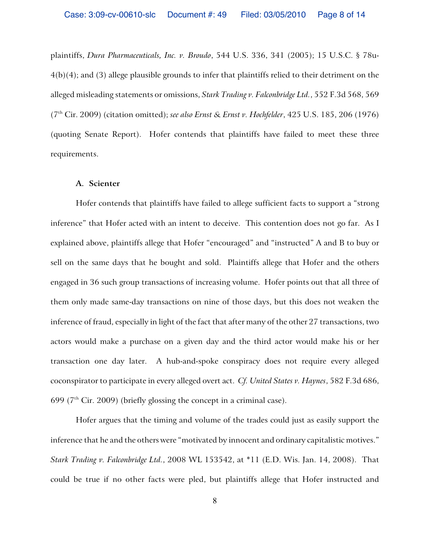plaintiffs, *Dura Pharmaceuticals, Inc. v. Broudo*, 544 U.S. 336, 341 (2005); 15 U.S.C. § 78u- $4(b)(4)$ ; and (3) allege plausible grounds to infer that plaintiffs relied to their detriment on the alleged misleading statements or omissions, *Stark Trading v. Falconbridge Ltd.*, 552 F.3d 568, 569 (7<sup>th</sup> Cir. 2009) (citation omitted); *see also Ernst & Ernst v. Hochfelder*, 425 U.S. 185, 206 (1976) (quoting Senate Report). Hofer contends that plaintiffs have failed to meet these three requirements.

### **A. Scienter**

Hofer contends that plaintiffs have failed to allege sufficient facts to support a "strong inference" that Hofer acted with an intent to deceive. This contention does not go far. As I explained above, plaintiffs allege that Hofer "encouraged" and "instructed" A and B to buy or sell on the same days that he bought and sold. Plaintiffs allege that Hofer and the others engaged in 36 such group transactions of increasing volume. Hofer points out that all three of them only made same-day transactions on nine of those days, but this does not weaken the inference of fraud, especially in light of the fact that after many of the other 27 transactions, two actors would make a purchase on a given day and the third actor would make his or her transaction one day later. A hub-and-spoke conspiracy does not require every alleged coconspirator to participate in every alleged overt act. *Cf. United States v. Haynes*, 582 F.3d 686, 699 ( $7<sup>th</sup>$  Cir. 2009) (briefly glossing the concept in a criminal case).

Hofer argues that the timing and volume of the trades could just as easily support the inference that he and the others were "motivated by innocent and ordinary capitalistic motives." *Stark Trading v. Falconbridge Ltd.*, 2008 WL 153542, at \*11 (E.D. Wis. Jan. 14, 2008). That could be true if no other facts were pled, but plaintiffs allege that Hofer instructed and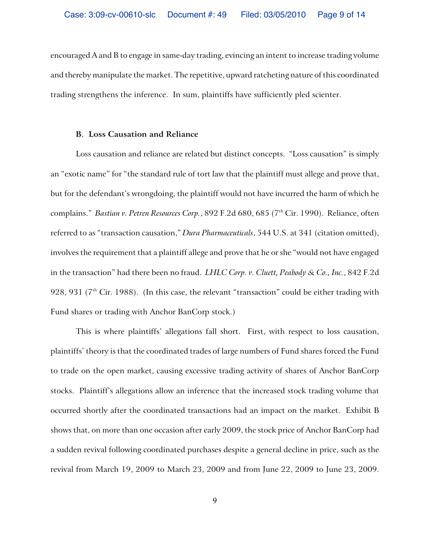encouraged A and B to engage in same-day trading, evincing an intent to increase trading volume and thereby manipulate the market. The repetitive, upward ratcheting nature of this coordinated trading strengthens the inference. In sum, plaintiffs have sufficiently pled scienter.

#### **B. Loss Causation and Reliance**

Loss causation and reliance are related but distinct concepts. "Loss causation" is simply an "exotic name" for "the standard rule of tort law that the plaintiff must allege and prove that, but for the defendant's wrongdoing, the plaintiff would not have incurred the harm of which he complains." *Bastian v. Petren Resources Corp.*, 892 F.2d 680, 685 (7<sup>th</sup> Cir. 1990). Reliance, often referred to as "transaction causation," *Dura Pharmaceuticals*, 544 U.S. at 341 (citation omitted), involves the requirement that a plaintiff allege and prove that he or she "would not have engaged in the transaction" had there been no fraud. *LHLC Corp. v. Cluett, Peabody & Co., Inc.*, 842 F.2d 928, 931 ( $7<sup>th</sup>$  Cir. 1988). (In this case, the relevant "transaction" could be either trading with Fund shares or trading with Anchor BanCorp stock.)

This is where plaintiffs' allegations fall short. First, with respect to loss causation, plaintiffs' theory is that the coordinated trades of large numbers of Fund shares forced the Fund to trade on the open market, causing excessive trading activity of shares of Anchor BanCorp stocks. Plaintiff's allegations allow an inference that the increased stock trading volume that occurred shortly after the coordinated transactions had an impact on the market. Exhibit B shows that, on more than one occasion after early 2009, the stock price of Anchor BanCorp had a sudden revival following coordinated purchases despite a general decline in price, such as the revival from March 19, 2009 to March 23, 2009 and from June 22, 2009 to June 23, 2009.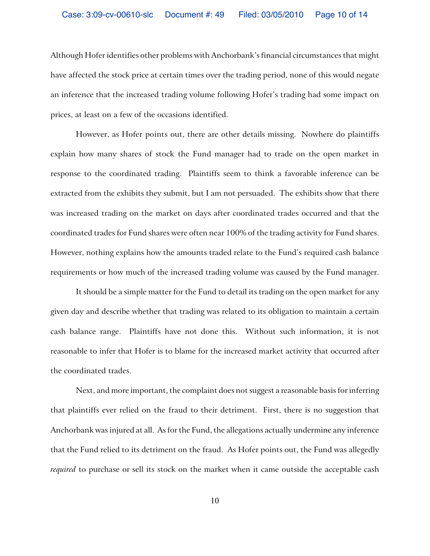Although Hofer identifies other problems with Anchorbank's financial circumstances that might have affected the stock price at certain times over the trading period, none of this would negate an inference that the increased trading volume following Hofer's trading had some impact on prices, at least on a few of the occasions identified.

However, as Hofer points out, there are other details missing. Nowhere do plaintiffs explain how many shares of stock the Fund manager had to trade on the open market in response to the coordinated trading. Plaintiffs seem to think a favorable inference can be extracted from the exhibits they submit, but I am not persuaded. The exhibits show that there was increased trading on the market on days after coordinated trades occurred and that the coordinated trades for Fund shares were often near 100% of the trading activity for Fund shares. However, nothing explains how the amounts traded relate to the Fund's required cash balance requirements or how much of the increased trading volume was caused by the Fund manager.

It should be a simple matter for the Fund to detail its trading on the open market for any given day and describe whether that trading was related to its obligation to maintain a certain cash balance range. Plaintiffs have not done this. Without such information, it is not reasonable to infer that Hofer is to blame for the increased market activity that occurred after the coordinated trades.

Next, and more important, the complaint does not suggest a reasonable basis for inferring that plaintiffs ever relied on the fraud to their detriment. First, there is no suggestion that Anchorbank was injured at all. As for the Fund, the allegations actually undermine any inference that the Fund relied to its detriment on the fraud. As Hofer points out, the Fund was allegedly *required* to purchase or sell its stock on the market when it came outside the acceptable cash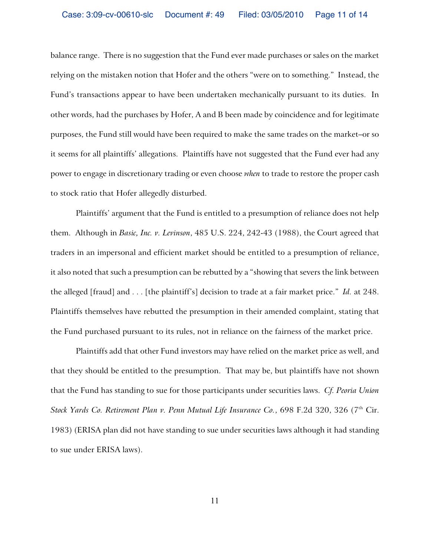balance range. There is no suggestion that the Fund ever made purchases or sales on the market relying on the mistaken notion that Hofer and the others "were on to something." Instead, the Fund's transactions appear to have been undertaken mechanically pursuant to its duties. In other words, had the purchases by Hofer, A and B been made by coincidence and for legitimate purposes, the Fund still would have been required to make the same trades on the market–or so it seems for all plaintiffs' allegations. Plaintiffs have not suggested that the Fund ever had any power to engage in discretionary trading or even choose *when* to trade to restore the proper cash to stock ratio that Hofer allegedly disturbed.

Plaintiffs' argument that the Fund is entitled to a presumption of reliance does not help them. Although in *Basic, Inc. v. Levinson*, 485 U.S. 224, 242-43 (1988), the Court agreed that traders in an impersonal and efficient market should be entitled to a presumption of reliance, it also noted that such a presumption can be rebutted by a "showing that severs the link between the alleged [fraud] and . . . [the plaintiff's] decision to trade at a fair market price." *Id.* at 248. Plaintiffs themselves have rebutted the presumption in their amended complaint, stating that the Fund purchased pursuant to its rules, not in reliance on the fairness of the market price.

Plaintiffs add that other Fund investors may have relied on the market price as well, and that they should be entitled to the presumption. That may be, but plaintiffs have not shown that the Fund has standing to sue for those participants under securities laws. *Cf. Peoria Union Stock Yards Co. Retirement Plan v. Penn Mutual Life Insurance Co., 698 F.2d 320, 326 (7<sup>th</sup> Cir.* 1983) (ERISA plan did not have standing to sue under securities laws although it had standing to sue under ERISA laws).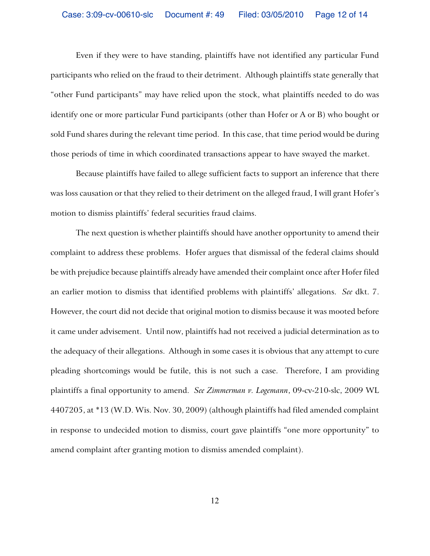Even if they were to have standing, plaintiffs have not identified any particular Fund participants who relied on the fraud to their detriment. Although plaintiffs state generally that "other Fund participants" may have relied upon the stock, what plaintiffs needed to do was identify one or more particular Fund participants (other than Hofer or A or B) who bought or sold Fund shares during the relevant time period. In this case, that time period would be during those periods of time in which coordinated transactions appear to have swayed the market.

Because plaintiffs have failed to allege sufficient facts to support an inference that there was loss causation or that they relied to their detriment on the alleged fraud, I will grant Hofer's motion to dismiss plaintiffs' federal securities fraud claims.

The next question is whether plaintiffs should have another opportunity to amend their complaint to address these problems. Hofer argues that dismissal of the federal claims should be with prejudice because plaintiffs already have amended their complaint once after Hofer filed an earlier motion to dismiss that identified problems with plaintiffs' allegations. *See* dkt. 7. However, the court did not decide that original motion to dismiss because it was mooted before it came under advisement. Until now, plaintiffs had not received a judicial determination as to the adequacy of their allegations. Although in some cases it is obvious that any attempt to cure pleading shortcomings would be futile, this is not such a case. Therefore, I am providing plaintiffs a final opportunity to amend. *See Zimmerman v. Logemann*, 09-cv-210-slc, 2009 WL 4407205, at \*13 (W.D. Wis. Nov. 30, 2009) (although plaintiffs had filed amended complaint in response to undecided motion to dismiss, court gave plaintiffs "one more opportunity" to amend complaint after granting motion to dismiss amended complaint).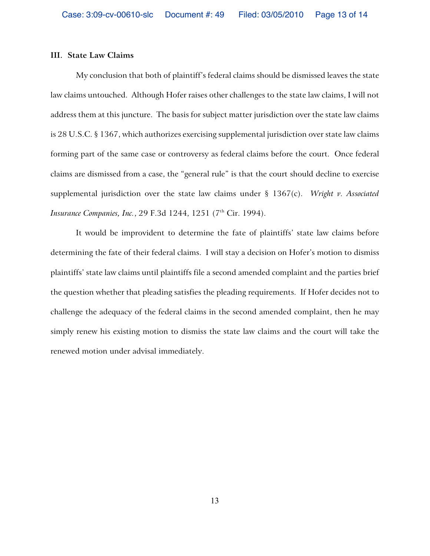## **III. State Law Claims**

My conclusion that both of plaintiff's federal claims should be dismissed leaves the state law claims untouched. Although Hofer raises other challenges to the state law claims, I will not address them at this juncture. The basis for subject matter jurisdiction over the state law claims is 28 U.S.C. § 1367, which authorizes exercising supplemental jurisdiction over state law claims forming part of the same case or controversy as federal claims before the court. Once federal claims are dismissed from a case, the "general rule" is that the court should decline to exercise supplemental jurisdiction over the state law claims under § 1367(c). *Wright v. Associated Insurance Companies, Inc.,* 29 F.3d 1244, 1251 (7<sup>th</sup> Cir. 1994).

It would be improvident to determine the fate of plaintiffs' state law claims before determining the fate of their federal claims. I will stay a decision on Hofer's motion to dismiss plaintiffs' state law claims until plaintiffs file a second amended complaint and the parties brief the question whether that pleading satisfies the pleading requirements. If Hofer decides not to challenge the adequacy of the federal claims in the second amended complaint, then he may simply renew his existing motion to dismiss the state law claims and the court will take the renewed motion under advisal immediately.